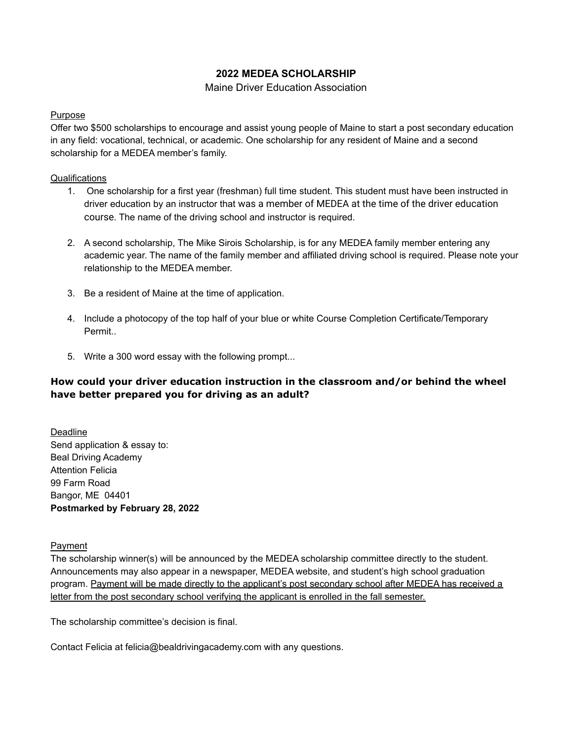## **2022 MEDEA SCHOLARSHIP**

### Maine Driver Education Association

#### Purpose

Offer two \$500 scholarships to encourage and assist young people of Maine to start a post secondary education in any field: vocational, technical, or academic. One scholarship for any resident of Maine and a second scholarship for a MEDEA member's family.

### **Qualifications**

- 1. One scholarship for a first year (freshman) full time student. This student must have been instructed in driver education by an instructor that was a member of MEDEA at the time of the driver education course. The name of the driving school and instructor is required.
- 2. A second scholarship, The Mike Sirois Scholarship, is for any MEDEA family member entering any academic year. The name of the family member and affiliated driving school is required. Please note your relationship to the MEDEA member.
- 3. Be a resident of Maine at the time of application.
- 4. Include a photocopy of the top half of your blue or white Course Completion Certificate/Temporary Permit..
- 5. Write a 300 word essay with the following prompt...

## **How could your driver education instruction in the classroom and/or behind the wheel have better prepared you for driving as an adult?**

Deadline Send application & essay to: Beal Driving Academy Attention Felicia 99 Farm Road Bangor, ME 04401 **Postmarked by February 28, 2022**

Payment

The scholarship winner(s) will be announced by the MEDEA scholarship committee directly to the student. Announcements may also appear in a newspaper, MEDEA website, and student's high school graduation program. Payment will be made directly to the applicant's post secondary school after MEDEA has received a letter from the post secondary school verifying the applicant is enrolled in the fall semester.

The scholarship committee's decision is final.

Contact Felicia at [felicia@bealdrivingacademy.com](mailto:felicia@bealdrivingacademy.com) with any questions.